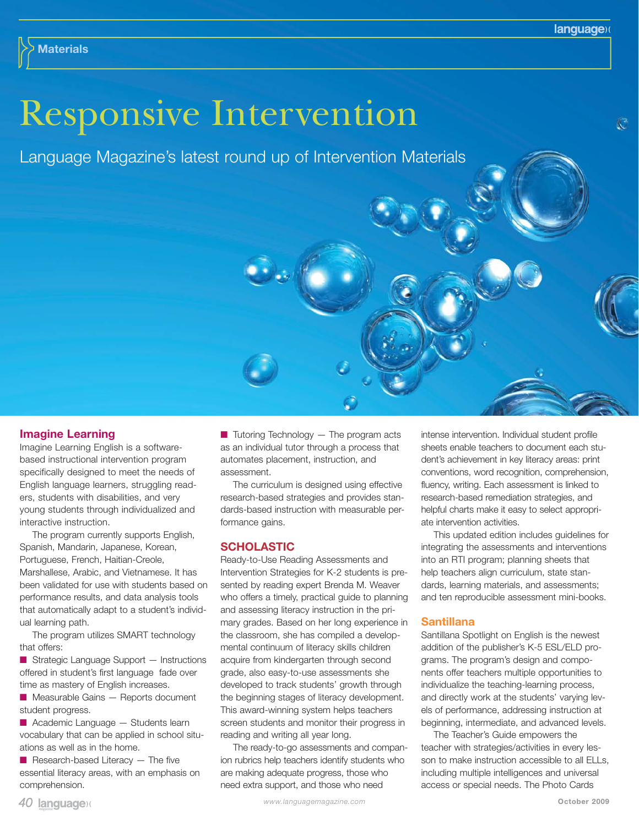# Responsive Intervention

Language Magazine's latest round up of Intervention Materials



## **Imagine Learning**

Imagine Learning English is a softwarebased instructional intervention program specifically designed to meet the needs of English language learners, struggling readers, students with disabilities, and very young students through individualized and interactive instruction.

The program currently supports English, Spanish, Mandarin, Japanese, Korean, Portuguese, French, Haitian-Creole, Marshallese, Arabic, and Vietnamese. It has been validated for use with students based on performance results, and data analysis tools that automatically adapt to a student's individual learning path.

The program utilizes SMART technology that offers:

■ Strategic Language Support — Instructions offered in student's first language fade over time as mastery of English increases.

■ Measurable Gains — Reports document student progress.

■ Academic Language – Students learn vocabulary that can be applied in school situations as well as in the home.

 $\blacksquare$  Research-based Literacy  $-$  The five essential literacy areas, with an emphasis on comprehension.

 $\blacksquare$  Tutoring Technology  $-$  The program acts as an individual tutor through a process that automates placement, instruction, and assessment.

The curriculum is designed using effective research-based strategies and provides standards-based instruction with measurable performance gains.

## **SCHOLASTIC**

Ready-to-Use Reading Assessments and Intervention Strategies for K-2 students is presented by reading expert Brenda M. Weaver who offers a timely, practical guide to planning and assessing literacy instruction in the primary grades. Based on her long experience in the classroom, she has compiled a developmental continuum of literacy skills children acquire from kindergarten through second grade, also easy-to-use assessments she developed to track students' growth through the beginning stages of literacy development. This award-winning system helps teachers screen students and monitor their progress in reading and writing all year long.

The ready-to-go assessments and companion rubrics help teachers identify students who are making adequate progress, those who need extra support, and those who need

intense intervention. Individual student profile sheets enable teachers to document each student's achievement in key literacy areas: print conventions, word recognition, comprehension, fluency, writing. Each assessment is linked to research-based remediation strategies, and helpful charts make it easy to select appropriate intervention activities.

This updated edition includes guidelines for integrating the assessments and interventions into an RTI program; planning sheets that help teachers align curriculum, state standards, learning materials, and assessments; and ten reproducible assessment mini-books.

#### **Santillana**

Santillana Spotlight on English is the newest addition of the publisher's K-5 ESL/ELD programs. The program's design and components offer teachers multiple opportunities to individualize the teaching-learning process, and directly work at the students' varying levels of performance, addressing instruction at beginning, intermediate, and advanced levels.

The Teacher's Guide empowers the teacher with strategies/activities in every lesson to make instruction accessible to all ELLs, including multiple intelligences and universal access or special needs. The Photo Cards